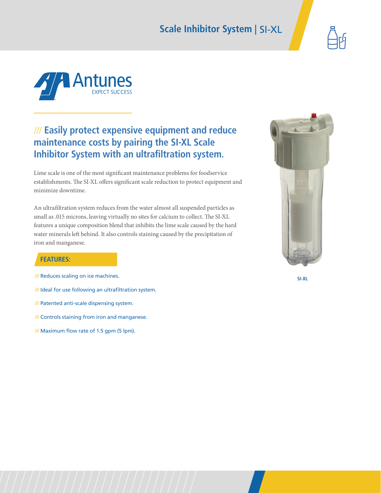## **Scale Inhibitor System** | SI-XL





## /// **Easily protect expensive equipment and reduce maintenance costs by pairing the SI-XL Scale Inhibitor System with an ultrafiltration system.**

Lime scale is one of the most significant maintenance problems for foodservice establishments. The SI-XL offers significant scale reduction to protect equipment and minimize downtime.

An ultrafiltration system reduces from the water almost all suspended particles as small as .015 microns, leaving virtually no sites for calcium to collect. The SI-XL features a unique composition blend that inhibits the lime scale caused by the hard water minerals left behind. It also controls staining caused by the precipitation of iron and manganese.



### **FEATURES:**

- **///** Reduces scaling on ice machines.
- **///** Ideal for use following an ultrafiltration system.
- **///** Patented anti-scale dispensing system.
- **///** Controls staining from iron and manganese.
- **///** Maximum flow rate of 1.5 gpm (5 lpm).

**SI-XL**